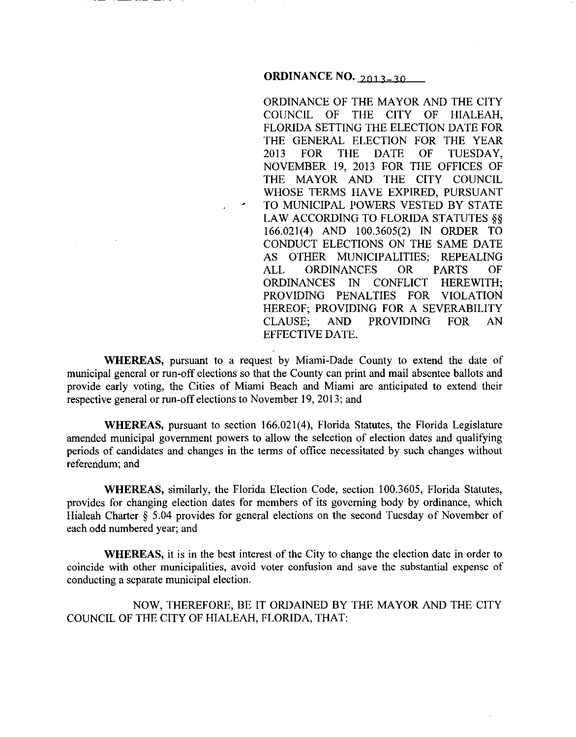ORDINANCE OF THE MAYOR AND THE CITY COUNCIL OF THE CITY OF HIALEAH, FLORIDA SETTING THE ELECTION DATE FOR THE GENERAL ELECTION FOR THE YEAR 2013 FOR THE DATE OF TUESDAY, NOVEMBER 19, 2013 FOR THE OFFICES OF THE MAYOR AND THE CITY COUNCIL WHOSE TERMS HAVE EXPIRED, PURSUANT TO MUNICIPAL POWERS VESTED BY STATE LAW ACCORDING TO FLORIDA STATUTES§§ 166.021(4) AND 100.3605(2) IN ORDER TO CONDUCT ELECTIONS ON THE SAME DATE AS OTHER MUNICIPALITIES; REPEALING ALL ORDINANCES OR PARTS OF ORDINANCES IN CONFLICT HEREWITH; PROVIDING PENALTIES FOR VIOLATION HEREOF; PROVIDING FOR A SEVERABILITY CLAUSE; AND PROVIDING FOR AN EFFECTIVE DATE.

WHEREAS, pursuant to a request by Miami-Dade County to extend the date of municipal general or run-off elections so that the County can print and mail absentee ballots and provide early voting, the Cities of Miami Beach and Miami are anticipated to extend their respective general or run-off elections to November 19, 2013; and

**WHEREAS, pursuant to section 166.021(4), Florida Statutes, the Florida Legislature** amended municipal government powers to allow the selection of election dates and qualifying periods of candidates and changes in the terms of office necessitated by such changes without referendum; and

**WHEREAS,** similarly, the Florida Election Code, section I 00.3605, Florida Statutes, provides for changing election dates for members of its governing body by ordinance, which Hialeah Charter § 5.04 provides for general elections on the second Tuesday of November of each odd numbered year; and

**WHEREAS,** it is in the best interest of the City to change the election date in order to coincide with other municipalities, avoid voter confusion and save the substantial expense of conducting a separate municipal election.

NOW, THEREFORE, BE IT ORDAINED BY THE MAYOR AND THE CITY COUNCIL OF THE CITY OF HIALEAH, FLORIDA, THAT: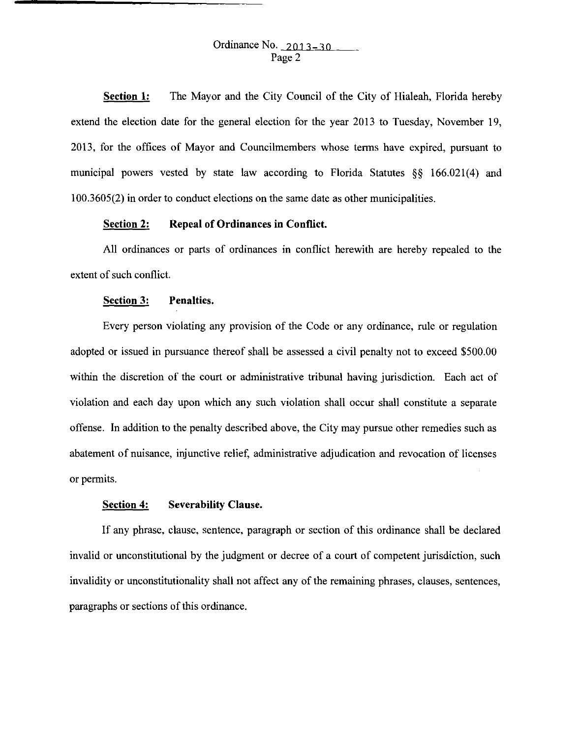**Section 1:**  The Mayor and the City Council of the City of Hialeah, Florida hereby extend the election date for the general election for the year 2013 to Tuesday, November 19, 2013, for the offices of Mayor and Councilmembers whose terms have expired, pursuant to municipal powers vested by state law according to Florida Statutes §§ 166.021(4) and 1 00.3605(2) in order to conduct elections on the same date as other municipalities.

## **Section 2: Repeal of Ordinances in Conflict.**

All ordinances or parts of ordinances in conflict herewith are hereby repealed to the extent of such conflict.

## **Section 3: Penalties.**

Every person violating any provision of the Code or any ordinance, rule or regulation adopted or issued in pursuance thereof shall be assessed a civil penalty not to exceed \$500.00 within the discretion of the court or administrative tribunal having jurisdiction. Each act of violation and each day upon which any such violation shall occur shall constitute a separate offense. In addition to the penalty described above, the City may pursue other remedies such as abatement of nuisance, injunctive relief, administrative adjudication and revocation of licenses or permits.

## **Section 4: Severability Clause.**

If any phrase, clause, sentence, paragraph or section of this ordinance shall be declared invalid or unconstitutional by the judgment or decree of a court of competent jurisdiction, such invalidity or unconstitutionality shall not affect any of the remaining phrases, clauses, sentences, paragraphs or sections of this ordinance.